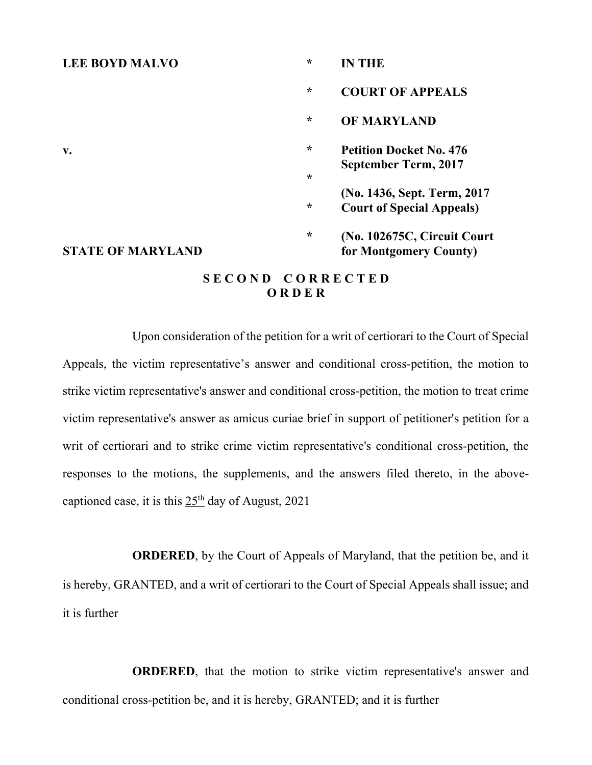#### **LEE BOYD MALVO \* IN THE**

**\* COURT OF APPEALS \* OF MARYLAND v. \* Petition Docket No. 476 September Term, 2017 \* (No. 1436, Sept. Term, 2017 \* Court of Special Appeals) \* (No. 102675C, Circuit Court**

#### **STATE OF MARYLAND for Montgomery County)**

#### **S E C O N D C O R R E C T E D O R D E R**

Upon consideration of the petition for a writ of certiorari to the Court of Special Appeals, the victim representative's answer and conditional cross-petition, the motion to strike victim representative's answer and conditional cross-petition, the motion to treat crime victim representative's answer as amicus curiae brief in support of petitioner's petition for a writ of certiorari and to strike crime victim representative's conditional cross-petition, the responses to the motions, the supplements, and the answers filed thereto, in the abovecaptioned case, it is this  $25<sup>th</sup>$  day of August, 2021

**ORDERED**, by the Court of Appeals of Maryland, that the petition be, and it is hereby, GRANTED, and a writ of certiorari to the Court of Special Appeals shall issue; and it is further

**ORDERED**, that the motion to strike victim representative's answer and conditional cross-petition be, and it is hereby, GRANTED; and it is further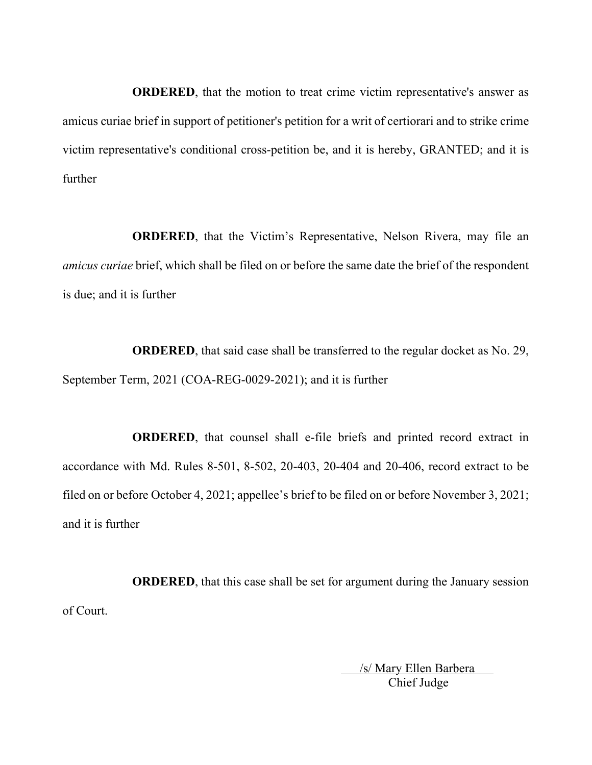**ORDERED**, that the motion to treat crime victim representative's answer as amicus curiae brief in support of petitioner's petition for a writ of certiorari and to strike crime victim representative's conditional cross-petition be, and it is hereby, GRANTED; and it is further

**ORDERED**, that the Victim's Representative, Nelson Rivera, may file an *amicus curiae* brief, which shall be filed on or before the same date the brief of the respondent is due; and it is further

**ORDERED**, that said case shall be transferred to the regular docket as No. 29, September Term, 2021 (COA-REG-0029-2021); and it is further

**ORDERED**, that counsel shall e-file briefs and printed record extract in accordance with Md. Rules 8-501, 8-502, 20-403, 20-404 and 20-406, record extract to be filed on or before October 4, 2021; appellee's brief to be filed on or before November 3, 2021; and it is further

**ORDERED**, that this case shall be set for argument during the January session of Court.

> /s/ Mary Ellen Barbera Chief Judge